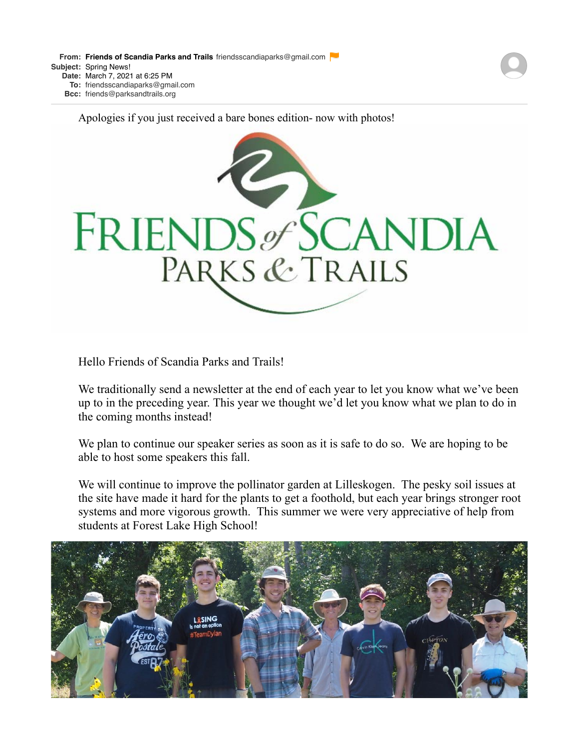**From: Friends of Scandia Parks and [Trails](mailto:Trailsfriendsscandiaparks@gmail.com)** [friendsscandiaparks@gmail.com](mailto:Trailsfriendsscandiaparks@gmail.com) **Subject:** Spring News! **Date:** March 7, 2021 at 6:25 PM

**To:** [friendsscandiaparks@gmail.com](mailto:friendsscandiaparks@gmail.com)

**Bcc:** [friends@parksandtrails.org](mailto:friends@parksandtrails.org)

Apologies if you just received a bare bones edition- now with photos!



Hello Friends of Scandia Parks and Trails!

We traditionally send a newsletter at the end of each year to let you know what we've been up to in the preceding year. This year we thought we'd let you know what we plan to do in the coming months instead!

We plan to continue our speaker series as soon as it is safe to do so. We are hoping to be able to host some speakers this fall.

We will continue to improve the pollinator garden at Lilleskogen. The pesky soil issues at the site have made it hard for the plants to get a foothold, but each year brings stronger root systems and more vigorous growth. This summer we were very appreciative of help from students at Forest Lake High School!

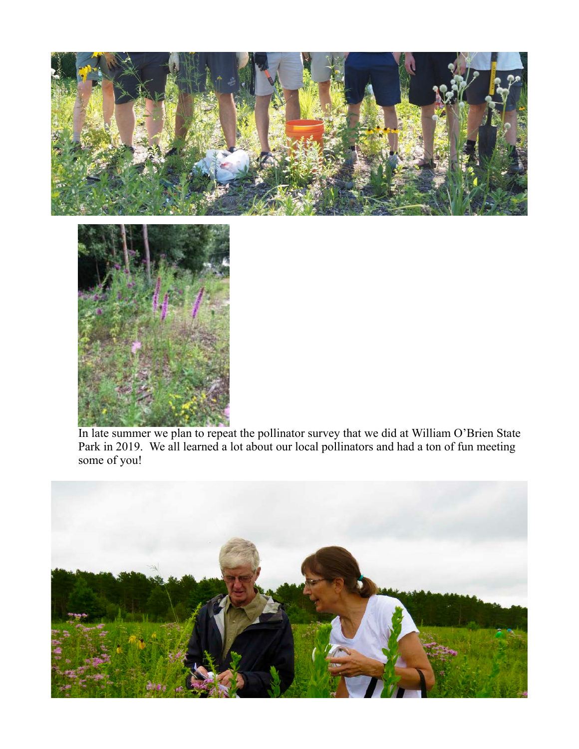



In late summer we plan to repeat the pollinator survey that we did at William O'Brien State Park in 2019. We all learned a lot about our local pollinators and had a ton of fun meeting some of you!

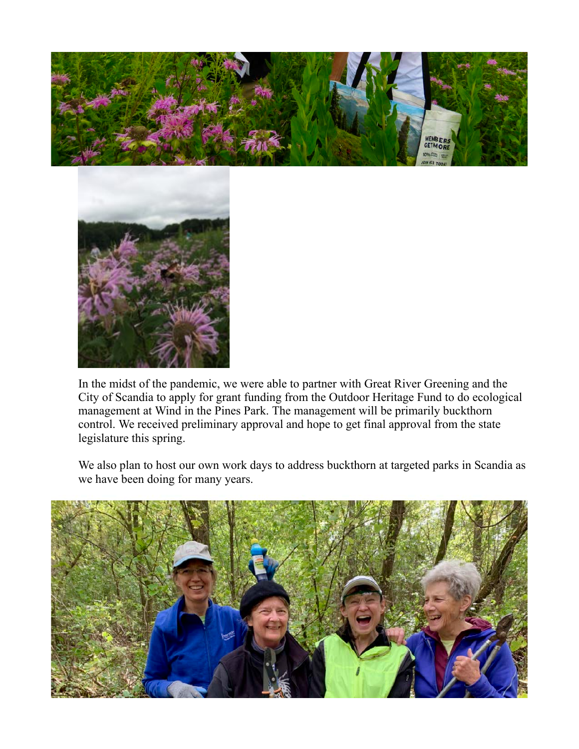



In the midst of the pandemic, we were able to partner with Great River Greening and the City of Scandia to apply for grant funding from the Outdoor Heritage Fund to do ecological management at Wind in the Pines Park. The management will be primarily buckthorn control. We received preliminary approval and hope to get final approval from the state legislature this spring.

We also plan to host our own work days to address buckthorn at targeted parks in Scandia as we have been doing for many years.

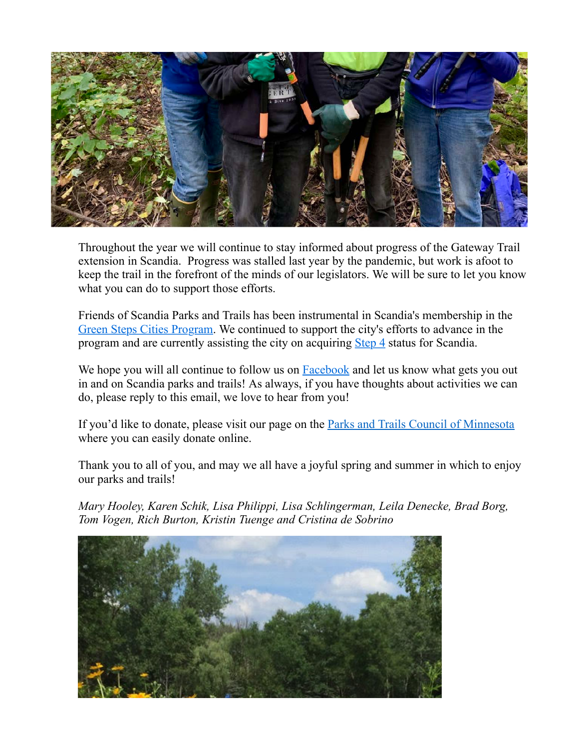

Throughout the year we will continue to stay informed about progress of the Gateway Trail extension in Scandia. Progress was stalled last year by the pandemic, but work is afoot to keep the trail in the forefront of the minds of our legislators. We will be sure to let you know what you can do to support those efforts.

Friends of Scandia Parks and Trails has been instrumental in Scandia's membership in the [Green Steps Cities Program](https://greenstep.pca.state.mn.us/). We continued to support the city's efforts to advance in the program and are currently assisting the city on acquiring [Step 4](https://greenstep.pca.state.mn.us/page/steps-4-and-5) status for Scandia.

We hope you will all continue to follow us on [Facebook](https://www.facebook.com/FriendsOfScandiaParksAndTrails/) and let us know what gets you out in and on Scandia parks and trails! As always, if you have thoughts about activities we can do, please reply to this email, we love to hear from you!

If you'd like to donate, please visit our page on the **[Parks and Trails Council of Minnesota](https://www.parksandtrails.org/friends-groups/meet-friends/scandia-parks/)** where you can easily donate online.

Thank you to all of you, and may we all have a joyful spring and summer in which to enjoy our parks and trails!

*Mary Hooley, Karen Schik, Lisa Philippi, Lisa Schlingerman, Leila Denecke, Brad Borg, Tom Vogen, Rich Burton, Kristin Tuenge and Cristina de Sobrino*